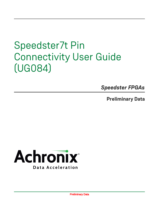*Speedster FPGAs*

**Preliminary Data**



Preliminary Data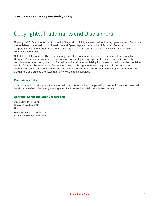## Copyrights, Trademarks and Disclaimers

Copyright © 2022 Achronix Semiconductor Corporation. All rights reserved. Achronix, Speedster and VectorPath are registered trademarks, and Speedcore and Speedchip are trademarks of Achronix Semiconductor Corporation. All other trademarks are the property of their prospective owners. All specifications subject to change without notice.

NOTICE of DISCLAIMER: The information given in this document is believed to be accurate and reliable. However, Achronix Semiconductor Corporation does not give any representations or warranties as to the completeness or accuracy of such information and shall have no liability for the use of the information contained herein. Achronix Semiconductor Corporation reserves the right to make changes to this document and the information contained herein at any time and without notice. All Achronix trademarks, registered trademarks, disclaimers and patents are listed at http://www.achronix.com/legal.

#### **Preliminary Data**

This document contains preliminary information and is subject to change without notice. Information provided herein is based on internal engineering specifications and/or initial characterization data.

#### **Achronix Semiconductor Corporation**

2903 Bunker Hill Lane Santa Clara, CA 95054 USA Website: www.achronix.com

E-mail : info@achronix.com

Preliminary Data 2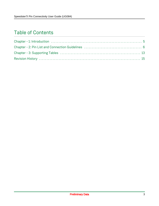### Table of Contents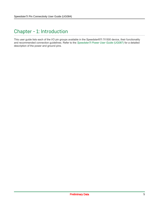### <span id="page-4-0"></span>Chapter - 1: Introduction

This user guide lists each of the I/O pin groups available in the Speedster®7t 7t1500 device, their functionality and recommended connection guidelines. Refer to the *[Speedster7t Power User Guide](https://www.achronix.com/documentation/speedster7t-power-user-guide-ug087)* (UG087) for a detailed description of the power and ground pins.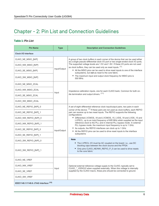### <span id="page-5-0"></span>Chapter - 2: Pin List and Connection Guidelines

#### **Table 1:** *Pin List*

| <b>Pin Name</b>                       | <b>Type</b>  | <b>Description and Connection Guidelines</b>                                                                                                                                                                                                                                                                                                                                                                                                                               |
|---------------------------------------|--------------|----------------------------------------------------------------------------------------------------------------------------------------------------------------------------------------------------------------------------------------------------------------------------------------------------------------------------------------------------------------------------------------------------------------------------------------------------------------------------|
| <b>Clock I/O Interface</b>            |              |                                                                                                                                                                                                                                                                                                                                                                                                                                                                            |
| CLKIO_NE_MSIO_[N/P]                   |              | A group of two clock buffers in each corner of the device that can be used either<br>as a single pseudo-differential clock I/O port or two single-ended clock I/O ports.                                                                                                                                                                                                                                                                                                   |
| CLKIO_NW_MSIO_[N/P]                   |              | The supported voltage levels are 1.5V and 1.8V. If these I/O ports are not used<br>as clock buffers, they can be used only as reset inputs. (1).                                                                                                                                                                                                                                                                                                                           |
| CLKIO_SE_MSIO_[N/P]                   | Input/Output | • All the MSIO pins can be used to drive reset inputs to one of the interface<br>subsystems, but not as reset to the core fabric.                                                                                                                                                                                                                                                                                                                                          |
| CLKIO_SW_MSIO_[N/P]                   |              | • The maximum input and output clock frequency for MSIO pins is<br>500 MHz.                                                                                                                                                                                                                                                                                                                                                                                                |
| CLKIO_NE_MSIO_ZCAL                    |              |                                                                                                                                                                                                                                                                                                                                                                                                                                                                            |
| CLKIO_NW_MSIO_ZCAL                    |              | Impedance calibration inputs, one for each CLKIO bank. Common for both on-                                                                                                                                                                                                                                                                                                                                                                                                 |
| CLKIO_SE_MSIO_ZCAL                    | Input        | die termination and output drivers. (11)                                                                                                                                                                                                                                                                                                                                                                                                                                   |
| CLKIO_SW_MSIO_ZCAL                    |              |                                                                                                                                                                                                                                                                                                                                                                                                                                                                            |
| CLKIO_NE_REFIO_[N/P]_0                |              | A set of eight differential reference clock input/output pairs, two pairs in each                                                                                                                                                                                                                                                                                                                                                                                          |
| CLKIO_NE_REFIO_[N/P]_1                |              | corner of the device. (1) If these pairs are not used as clock buffers, each REFIO<br>pair can receive up to two reset inputs. The REFIO supports the following<br>configurations:<br>• Differential LVCMOS_18 and LVCMOS_15, LVDS_18 and LVDS_15 and<br>LVPECL, up to an input frequency of 600 MHz when supplied as the input<br>reference clock to the PLL and in internal PLL bypass mode. In external<br>PLL bypass mode, the maximum input frequency is up to 1 GHz. |
| CLKIO_NW_REFIO_[N/P]_0                | Input/Output |                                                                                                                                                                                                                                                                                                                                                                                                                                                                            |
| CLKIO_NW_REFIO_[N/P]_1                |              |                                                                                                                                                                                                                                                                                                                                                                                                                                                                            |
| CLKIO_SE_REFIO_[N/P]_0                |              | • As outputs, the REFIO interfaces can clock up to 1 GHz<br>• All the REFIO pins can be used to drive reset inputs to the interface                                                                                                                                                                                                                                                                                                                                        |
| CLKIO_SE_REFIO_[N/P]_1                |              | subsystems                                                                                                                                                                                                                                                                                                                                                                                                                                                                 |
| CLKIO_SW_REFIO_[N/P]_0                |              | <b>Note</b><br>• The LVPECL I/O must be AC coupled on the board; i.e., use DC                                                                                                                                                                                                                                                                                                                                                                                              |
| CLKIO_SW_REFIO_[N/P]_1                |              | blocking caps between the clock source and the FPGA<br>• Only pins CLKIO_NE/NW_REFIO_P_0 can be used to drive resets<br>to the core fabric                                                                                                                                                                                                                                                                                                                                 |
| CLKIO NE VREF                         |              |                                                                                                                                                                                                                                                                                                                                                                                                                                                                            |
| CLKIO_NW_VREF                         |              | Optional external reference voltage supply to the CLKIO, typically set to                                                                                                                                                                                                                                                                                                                                                                                                  |
| CLKIO_SE_VREF                         | Input        | CLKIO * VDDIO/2 when supplied externally. When this voltage is internally<br>supplied by the CLKIO macro, these pins should be connected to ground.                                                                                                                                                                                                                                                                                                                        |
| CLKIO_SW_VREF                         |              |                                                                                                                                                                                                                                                                                                                                                                                                                                                                            |
| IEEE1149.1/1149.6 JTAG Interface (10) |              |                                                                                                                                                                                                                                                                                                                                                                                                                                                                            |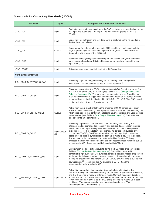| <b>Pin Name</b>                | <b>Type</b>          | <b>Description and Connection Guidelines</b>                                                                                                                                                                                                                                                                                                                                                                                                                                                                                                                                                                                                                                                                         |  |
|--------------------------------|----------------------|----------------------------------------------------------------------------------------------------------------------------------------------------------------------------------------------------------------------------------------------------------------------------------------------------------------------------------------------------------------------------------------------------------------------------------------------------------------------------------------------------------------------------------------------------------------------------------------------------------------------------------------------------------------------------------------------------------------------|--|
| JTAG_TCK                       | Input                | Dedicated test clock used to advance the TAP controller and clock-in data on the<br>TDI input and out on the TDO output. The maximum frequency for TCK is<br>25 MHz.                                                                                                                                                                                                                                                                                                                                                                                                                                                                                                                                                 |  |
| JTAG_TDI                       | Input                | Serial input for instruction and test data. Data is captured on the rising edge of<br>the test logic clock (TCK).                                                                                                                                                                                                                                                                                                                                                                                                                                                                                                                                                                                                    |  |
| JTAG_TDO                       | Output               | Serial output for data from the test logic. TDO is set to an inactive drive state<br>(high impedance) when data scanning is not in progress. TDO drives out valid<br>data on the falling edge of the TCK input.                                                                                                                                                                                                                                                                                                                                                                                                                                                                                                      |  |
| JTAG_TMS                       | Input                | Test mode select (TMS) input controlling the test access port (TAP) controller<br>state machine transitions. This input is captured on the rising edge of the test<br>logic clock (TCK).                                                                                                                                                                                                                                                                                                                                                                                                                                                                                                                             |  |
| JTAG_TRSTN                     | Input                | Active-low reset input used to initialize the TAP controller.                                                                                                                                                                                                                                                                                                                                                                                                                                                                                                                                                                                                                                                        |  |
| <b>Configuration Interface</b> |                      |                                                                                                                                                                                                                                                                                                                                                                                                                                                                                                                                                                                                                                                                                                                      |  |
| FCU_CONFIG_BYPASS_CLEAR        | Input                | Active-high input pin to bypass configuration memory clear during device<br>initialization. This input should be tied to GND if not used. (2)                                                                                                                                                                                                                                                                                                                                                                                                                                                                                                                                                                        |  |
| FCU_CONFIG_CLKSEL              | Input                | Pin controlling whether the FPGA configuration unit (FCU) clock is sourced from<br>the TCK input or the CPU_CLK input (see Table 2: FCU Configuration Clock<br>Selection (see page 13)). The pin should be connected to a configurable input<br>such as a DIP switch to toggle between modes of operation for debug. If this is<br>not possible or desired, tie this signal to 1.8V (FCU_CB_VDDIO) or GND based<br>on the desired clock for configuration mode. (2)                                                                                                                                                                                                                                                  |  |
| FCU_CONFIG_ERR_ENC[2:0]        | Output               | Active-high output pins highlighting the presence of CRC, scrubbing or other<br>errors in the bitstream during device programming. If asserted, it remains high, in<br>which case, expect that configuration loading never completes, and user mode is<br>never entered (see Table 3: Error Output Pins (see page 13)). Connect these<br>pins directly to an error indicator.                                                                                                                                                                                                                                                                                                                                        |  |
| FCU_CONFIG_DONE                | Input/Output<br>(14) | Active-high, open-drain Configuration Done output signal indicating that<br>bitstream loading completed successfully and that the device is ready to enter<br>user mode. When high, the signal remains asserted until the FCU is power-<br>cycled or reset for a re-initialization sequence. If a device configuration error<br>occurs, the CONFIG_DONE output remains low. Holding this pin low on the<br>board must be used to synchronize the start-up of multiple devices. In addition,<br>this pin must be tied high (even if not externally driven) as the FCU only<br>proceeds if a high value is seen on this pin. The recommended minimum pull-up<br>impedance is 68Ω. Recommended I/O standard is SSTL-18. |  |
| FCU_CONFIG_MODESEL_[3:0]       | Input                | Configuration mode selection inputs to define the FCU mode of operation (see<br>Table 4: FCU Mode Selection (see page 14)). Should be connected to<br>configurable inputs, such as DIP switches, to toggle between modes of operation<br>for debug. If this is not possible or desired based on the configuration scheme,<br>these pins should be tied to either FCU_CB_VDDIO or GND using a pull-up/pull-<br>down resistor. (2) Recommended I/O standard is SSTL-18 and the<br>recommended resistor value is 680.                                                                                                                                                                                                   |  |
| FCU_PARTIAL_CONFIG_DONE        | Input/Output         | Active-high, open-drain Configuration Done output signal indicating that<br>bitstream loading completed successfully for partial reconfiguration of the device,<br>and that the device is ready to enter user mode. Connect this output directly to<br>an indicator LED or configuration controller. In addition, this pin must be tied high<br>(even if not externally driven) as the FCU only proceeds if a high value is seen<br>on this pin. The recommended minimum pull-up impedance is $68\Omega$ .<br>Recommended I/O standard is SSTL-18.                                                                                                                                                                   |  |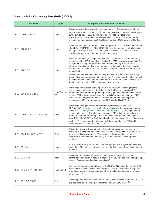| <b>Pin Name</b>          | <b>Type</b>          | <b>Description and Connection Guidelines</b>                                                                                                                                                                                                                                                                                                                                                                                                                                                                                                                                                                                                                                                                                                       |  |
|--------------------------|----------------------|----------------------------------------------------------------------------------------------------------------------------------------------------------------------------------------------------------------------------------------------------------------------------------------------------------------------------------------------------------------------------------------------------------------------------------------------------------------------------------------------------------------------------------------------------------------------------------------------------------------------------------------------------------------------------------------------------------------------------------------------------|--|
| FCU_CONFIG_RSTN          | Input                | Asynchronous active-low reset input clearing the configuration memory in the<br>device and the logic in the FCU. $(3)$ This pin must be held low, and cannot glitch<br>during device power-up. All other input pins need to be stable when<br>i config rstn is ready to be released after power-up. The recommended<br>minimum pull-up impedance is 68Ω. Recommended I/O standard is SSTL-18.                                                                                                                                                                                                                                                                                                                                                      |  |
| FCU_STRAP[2:0]           | Input                | Test mode input pins. When FCU_STRAP[0] is 0, FCU is in functional mode and<br>when FCU_STRAP[0] is 1, FCU_CPU_CSN is gated and only controllable via<br>test logic. These pins must be enabled with a provision to connect pull-down<br>resistors in order to drive the appropriate input value.                                                                                                                                                                                                                                                                                                                                                                                                                                                  |  |
| FCU_STAP_SEL             | Input                | When asserted high, this signal enables the JTAG interface pins to be directly<br>connected to the JTAG controller in the SerDes PMA blocks allowing for SerDes<br>configuration, debug and performance monitoring directly from the JTAG<br>interface. For bitstream download and design debug using the JTAG interface,<br>this pin must be held low. For SerDes PMA debug only mode, this pin must be<br>held high. $(2)$<br>This input must be connected to a configurable input, such as a DIP switch, to<br>toggle between modes of operation for debug. The recommended minimum pull-<br>down impedance is $68\Omega$ and the I/O standard is SSTL-18. If this pin is not used<br>then it should be tied to GND using a pull-down resistor. |  |
| FCU_CONFIG_STATUS        | Input/Output<br>(14) | Active-high configuration status open-drain output signal indicating that the FCU<br>has completed initial start-up, has cleared the CMEM and is awaiting FCU<br>commands for bitstream programming. When high, the signal remains asserted<br>until the FCU is power cycled, reset for a re-initialization sequence, or a CRC<br>error is seen during bitstream load. The recommended minimum pull-down<br>impedance is $68\Omega$ and the recommended I/O standard is SSTL-18.                                                                                                                                                                                                                                                                   |  |
| FCU_CONFIG_SYSCLK_BYPASS | Input                | Active-high setting to bypass configuration system clock. Along with<br>CFG_CLKSEL, this setting allows for clock selection during programming (see<br>Table 2: FCU Configuration Clock Selection (see page 13)). This input should<br>be connected to a configurable input, such as a DIP switch, to toggle between<br>modes of operation for debug. If this is not possible or desired, tie this pin to<br>1.8V (FCU_CB_VDDIO) or GND based on the desired clock for the configuration<br>mode. <sup>(2)</sup> The recommended minimum pull-down impedance is $68\Omega$ and the<br>recommended I/O standard is SSTL-18.                                                                                                                         |  |
| FCU_CONFIG_USER_MODE     | Output               | Active-high output indicating that the device has transitioned into user mode.<br>When high, the signal remains asserted until the FCU is power-cycled or reset<br>for a re-initialization sequence. This signal is not an open drain output.<br>Therefore, it can be connected directly to an indicator LED or configuration<br>controller.                                                                                                                                                                                                                                                                                                                                                                                                       |  |
| FCU_CPU_CLK              | Input                | Input clock from an external CPU. The data/address bus is synchronous to this<br>clock. If the CPU_CLK is not used to source the FCU clock, then this pin should<br>be tied to GND.                                                                                                                                                                                                                                                                                                                                                                                                                                                                                                                                                                |  |
| FCU_CPU_CSN              | Input                | Active-low CPU mode chip select. Connect the CSN pin directly to the<br>configuration controller. If this pin is not used, it should be connected to a pull-up<br>resistor. Recommended resistor value is $68\Omega$ .                                                                                                                                                                                                                                                                                                                                                                                                                                                                                                                             |  |
| FCU_CPU_DQ_IN_OUT[31:0]  | Input/Output         | Data input/output pins shared between the CPU and flash interfaces. The CPU<br>interface is inaccessible when flash mode is in use and vice-versa. If any pins<br>are unused based on the configuration, they should be connected to weak pull-<br>up resistors. $(3)$                                                                                                                                                                                                                                                                                                                                                                                                                                                                             |  |
| FCU_CPU_DQ_VALID         | Output               | Active-high control bit to indicate to the CPU the clock cycles when the CPU_DQ<br>bus has valid read-back data. Synchronous to FCU_CPU_CLK. (3)                                                                                                                                                                                                                                                                                                                                                                                                                                                                                                                                                                                                   |  |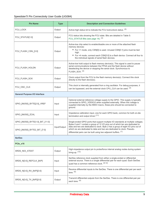| <b>Pin Name</b>                      | <b>Type</b>  | <b>Description and Connection Guidelines</b>                                                                                                                                                                                                                                                                      |  |
|--------------------------------------|--------------|-------------------------------------------------------------------------------------------------------------------------------------------------------------------------------------------------------------------------------------------------------------------------------------------------------------------|--|
| FCU_LOCK                             | Output       | Active-high status bit to indicate the FCU lock/unlock status. (3)                                                                                                                                                                                                                                                |  |
| FCU_STATUS[1:0]                      | Output       | FCU status bits showing the FCU state. Bits are detailed in Table 5:<br>FCU_STATUS Bits (see page 14). (3)                                                                                                                                                                                                        |  |
| FCU FLASH CSN [3:0]                  | Output       | Active-low chip select to enable/disable one or more of the attached flash<br>memory devices:<br>• For ×1 mode, only CSN[0] is used. Unused CSN[3:1] pins must be tied<br>high.<br>• For ×4 mode, connect each CSN[3:0] to a flash device. Connect all four to<br>the individual signals of serial flash devices. |  |
| FCU_FLASH_HOLDN                      | Output       | Active-low hold output to flash memory device(s). This signal is used to pause<br>serial communications between the FPGA and the flash device without<br>deselecting the device or stopping the serial clock. Synchronous to<br>FLASH SCK. (3)                                                                    |  |
| FCU_FLASH_SCK                        | Output       | Clock output from the FCU to the flash memory device(s). Connect this clock<br>directly to the flash device(s).                                                                                                                                                                                                   |  |
| FCU_OSC_CLK                          | Output       | This clock is internally generated from a ring oscillator. For debug purposes, it<br>can be bypassed, and the external clock CPU CLK can be used. (3)                                                                                                                                                             |  |
| <b>General Purpose I/O Interface</b> |              |                                                                                                                                                                                                                                                                                                                   |  |
| GPIO_[N0/S0]_BYTE[2:0]_VREF          | Input        | Optional external reference voltage supply to the GPIO. This supply is typically<br>connected to GPIO_VDDIO/2 when supplied externally. When this voltage is<br>supplied internally by the MSIO macro, these pins should be connected to<br>ground.                                                               |  |
| GPIO_[N0/S0]_ZCAL                    | Input        | Impedance calibration input, one for each GPIO bank, common for both on-die<br>termination and output driver. <sup>(11)</sup>                                                                                                                                                                                     |  |
| GPIO_[N0/S0]_BYTE[1:0]_BIT_[11:0]    |              | Single-ended GPIO ports that support multiple I/O standards at multiple voltages.<br>Bytes 0 and 1 contain a group of 12 I/O pins out of which ten are dedicated to                                                                                                                                               |  |
| GPIO_[N0/S0]_BYTE2_BIT_[7:0]         | Input/Output | data and two are dedicated to clock. Byte 2 has a group of eight I/O pins out of<br>which six are dedicated to data and two are dedicated to clock. Pseudo-<br>differential pairs can be built using two adjacent buffers. (1)                                                                                    |  |
| <b>SerDes</b>                        |              |                                                                                                                                                                                                                                                                                                                   |  |
| PCle_x16                             |              |                                                                                                                                                                                                                                                                                                                   |  |
| SRDS_N03_ATEST                       | Output       | High-impedance output pin to probe/force internal analog nodes during system<br>bring-up. $(13)$                                                                                                                                                                                                                  |  |
| SRDS_N[3:0]_REFCLK_[N/P]             | Input        | SerDes reference clock supplied from either a single-ended or differential<br>external source. There is a single differential pair for each quad. Each SerDes<br>quad has a common reference clock. (6,12)                                                                                                        |  |
| SRDS_N[3:0]_RX_[N/P][3:0]            | Input        | Receive differential inputs to the SerDes. There is one differential pair per each<br>$lane.$ $(5)$                                                                                                                                                                                                               |  |
| SRDS_N[3:0]_TX_[N/P][3:0]            | Output       | Transmit differential outputs from the SerDes. There is one differential pair per<br>each lane. (4)                                                                                                                                                                                                               |  |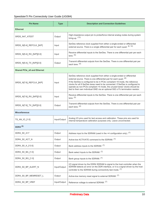| <b>Pin Name</b>                    | <b>Type</b>  | <b>Description and Connection Guidelines</b>                                                                                                                                                                                                                                                                                                                                                                                                                                                          |  |
|------------------------------------|--------------|-------------------------------------------------------------------------------------------------------------------------------------------------------------------------------------------------------------------------------------------------------------------------------------------------------------------------------------------------------------------------------------------------------------------------------------------------------------------------------------------------------|--|
| <b>Ethernet</b>                    |              |                                                                                                                                                                                                                                                                                                                                                                                                                                                                                                       |  |
| SRDS_N47_ATEST                     | Output       | High-impedance output pin to probe/force internal analog nodes during system<br>bring-up. $(13)$                                                                                                                                                                                                                                                                                                                                                                                                      |  |
| SRDS_N[5:4]_REFCLK_[N/P]           | Input        | SerDes reference clock supplied from either a single-ended or differential<br>external source. There is a single differential pair for each quad. (6, 12)                                                                                                                                                                                                                                                                                                                                             |  |
| SRDS_N[5:4]_RX_[N/P][3:0]          | Input        | Receive differential inputs to the SerDes. There is one differential pair per each<br>lane. $(5)$                                                                                                                                                                                                                                                                                                                                                                                                     |  |
| SRDS_N[5:4]_TX_[N/P][3:0]          | Output       | Transmit differential outputs from the SerDes. There is one differential pair per<br>each lane. (4)                                                                                                                                                                                                                                                                                                                                                                                                   |  |
| <b>Shared PCIe_x8 and Ethernet</b> |              |                                                                                                                                                                                                                                                                                                                                                                                                                                                                                                       |  |
| SRDS_N[7:6]_REFCLK_[N/P]           | Input        | SerDes reference clock supplied from either a single-ended or differential<br>external source. There is one differential pair for each quad. <sup>(6)</sup><br>If the SerDes is configured to be in PCIe-compliant ×8 mode, the reference<br>clocks for all 8 SerDes lanes need to be connected. If SerDes is configured to<br>operate as non-PCIe compliant ×4 mode, the unused lanes' clocks should be<br>tied to their own individual GND via an optional $50\Omega \pm 1\%$ termination resistor. |  |
| SRDS_N[7:6]_RX_[N/P][3:0]          | Input        | Receive differential inputs to the SerDes. There is one differential pair per each<br>$lane.$ $(5)$                                                                                                                                                                                                                                                                                                                                                                                                   |  |
| SRDS_N[7:6]_TX_[N/P][3:0]          | Output       | Transmit differential outputs from the SerDes. There is one differential pair per<br>each lane. (4)                                                                                                                                                                                                                                                                                                                                                                                                   |  |
| <b>Miscellaneous</b>               |              |                                                                                                                                                                                                                                                                                                                                                                                                                                                                                                       |  |
| TS_AN_IO_[1:0]                     | Input/Output | Analog I/O pins used for test access and calibration. These pins are used for<br>internal temperature calibration purposes only. Leave unconnected.                                                                                                                                                                                                                                                                                                                                                   |  |
| DDR4 $(9)$                         |              |                                                                                                                                                                                                                                                                                                                                                                                                                                                                                                       |  |
| DDR4_S0_A17                        | Output       | Address input to the SDRAM (used in the $\times$ 4 configuration only). $(7)$                                                                                                                                                                                                                                                                                                                                                                                                                         |  |
| DDR4_S0_ACT_N                      | Output       | Active-low ACTIVATE command to the SDRAM. <sup>(7)</sup>                                                                                                                                                                                                                                                                                                                                                                                                                                              |  |
| DDR4_S0_A_[13:0]                   | Output       | Bank address inputs to the SDRAM. (7)                                                                                                                                                                                                                                                                                                                                                                                                                                                                 |  |
| DDR4_S0_BA_[1:0]                   | Output       | Bank select Inputs to the SDRAM. (7)                                                                                                                                                                                                                                                                                                                                                                                                                                                                  |  |
| DDR4_S0_BG_[1:0]                   | Output       | Bank group inputs to the SDRAM. (7)                                                                                                                                                                                                                                                                                                                                                                                                                                                                   |  |
| DDR4_S0_BP_ALERT_N                 | Input/Output | I/O signal driven by the DDR4 SDRAM to signal to the host controller when the<br>SDRAM detects an error on the DDR interface, or it is a signal driven by the host<br>controller to the SDRAM during connectivity test mode. (7)                                                                                                                                                                                                                                                                      |  |
| DDR4_S0_BP_MEMRESET_L              | Output       | Active-low memory reset signal to external SDRAM. <sup>(7)</sup>                                                                                                                                                                                                                                                                                                                                                                                                                                      |  |
| DDR4_S0_BP_VREF                    | Input/Output | Reference voltage to external SDRAM. (7)                                                                                                                                                                                                                                                                                                                                                                                                                                                              |  |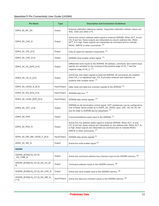| <b>Pin Name</b>                            | <b>Type</b>  | <b>Description and Connection Guidelines</b>                                                                                                                                                                                                                            |  |
|--------------------------------------------|--------------|-------------------------------------------------------------------------------------------------------------------------------------------------------------------------------------------------------------------------------------------------------------------------|--|
| DDR4_S0_BP_ZN                              | Output       | External calibration reference resistor. Supported calibration resistor values are<br>40 $\Omega$ , 120 $\Omega$ and 240 $\Omega$ ±1%.                                                                                                                                  |  |
| DDR4_S0_CAS_N                              | Output       | Active-low column address select signal to external SDRAM. When ACT_N and<br>CS_N are low, these outputs are interpreted as column address bits. When<br>ACT_N is high, these outputs are interpreted as command pins to indicate<br>READ, WRITE or other commands. (7) |  |
| DDR4 S0 CID [2:0]                          | Output       | Chip ID select for stacked components. (7)                                                                                                                                                                                                                              |  |
| DDR4_S0_CKE_[3:0]                          | Output       | SDRAM clock enable control signal. (7)                                                                                                                                                                                                                                  |  |
| DDR4_S0_CK_[N/P]_[3:0]                     | Output       | Differential clock inputs to the SDRAM. All address, command, and control input<br>signals are sampled on the crossing of the positive edge of CK_T and the<br>negative edge of CK_C. (7)                                                                               |  |
| DDR4_S0_CS_N_[3:0]                         | Output       | Active-low chip select signals to external SDRAM. All commands are masked<br>when CS_n is registered high. CS_N provides external rank selection on<br>systems with multiple ranks. (7)                                                                                 |  |
| DDR4_S0_UDQS_N_[8:0]                       | Input/Output | Data mask and data bus inversion signals to the SDRAM. <sup>(7)</sup>                                                                                                                                                                                                   |  |
| DDR4 S0 DQ [8:0] [7:0]                     | Input/Output | SDRAM data bus. (7)                                                                                                                                                                                                                                                     |  |
| DDR4_S0_LDQS_[N/P]_[8:0]                   | Input/Output | SDRAM data strobe signals. (7)                                                                                                                                                                                                                                          |  |
| DDR4_S0_ODT_[3:0]                          | Output       | SDRAM on-die termination control signal. ODT resistances can be configured to<br>one of these values pulled up to DDR4_S0_VDDQ: open, 240, 120, 80, 60, 48<br>and 40 (refer to SDRAM device datasheet). (7)                                                             |  |
| DDR4_S0_PAR                                | Output       | Command/address parity input to the SDRAM. (7)                                                                                                                                                                                                                          |  |
| DDR4_S0_RAS_N                              | Output       | Active-low row address select signal to external SDRAM. When ACT N and<br>CS_N are low, these outputs are interpreted as row address bits. When ACT_N<br>is high, these outputs are interpreted as command pins to indicate READ,<br>WRITE or other commands. (7)       |  |
| DDR4_S0_DM_DBI_UDQS_P_[8:0]                |              | Input/Output SDRAM data strobe signals. $(7)$                                                                                                                                                                                                                           |  |
| DDR4_S0_WE_N                               | Output       | Active-low write enable signal. <sup>(7)</sup>                                                                                                                                                                                                                          |  |
| GDDR6                                      |              |                                                                                                                                                                                                                                                                         |  |
| GDDR6_[E/W][3:0]_C[1:0]<br>_SD_CABI_N      | Output       | Active-low command address bus inversion input to the GDDR6 memory. (8)                                                                                                                                                                                                 |  |
| GDDR6_[E/W][3:0]_C[1:0]_SD_CA_[9:<br>0]    | Output       | Command address inputs to the GDDR6 memory. (8)                                                                                                                                                                                                                         |  |
| GDDR6_[E/W][3:0]_C[1:0]_SD_CKE_N           | Output       | Active-low clock enable input to the GDDR6 memory. (8)                                                                                                                                                                                                                  |  |
| GDDR6_[E/W][3:0]_C[1:0]_SD_DBI_N_<br>[1:0] | Input/Output | Active-low data bus inversion inputs to the GDDR6 memory. (8)                                                                                                                                                                                                           |  |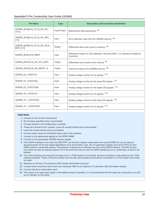| <b>Pin Name</b>                                  | <b>Type</b>  | <b>Description and Connection Guidelines</b>                                                              |
|--------------------------------------------------|--------------|-----------------------------------------------------------------------------------------------------------|
| GDDR6_[E/W][3:0]_C[1:0]_SD_DQ_<br>[15:0]         | Input/Output | Bidirectional data input/output. (8)                                                                      |
| GDDR6_[E/W][3:0]_C[1:0]_SD_EDC_<br>[1:0]         | Input        | Error detection code from the GDDR6 memory. (8)                                                           |
| GDDR6_[E/W][3:0]_C[1:0]_SD_WCK_<br>$[N/P]$ [1:0] | Output       | Differential data clock inputs to memory. (8)                                                             |
| GDDR6_[E/W] [3:0]_RREF                           | Input        | Reference resistor for ZQ calibration. Nominal $240\Omega$ , $\pm 1\%$ tolerance resistance<br>to ground. |
| GDDR6_[E/W] [3:0]_SD_CLK_[N/P]                   | Output       | Differential clock inputs to the memory. (8)                                                              |
| GDDR6 [E/W] [3:0] SD RESET N                     | Output       | Active-low reset to the GDDR6 memory. (8)                                                                 |
| GDDR6 E2 ATESTCA                                 | Input        | Analog voltage monitor for CA signals. (13)                                                               |
| GDDR6 E2 ATESTDQL                                | Input        | Analog voltage monitor for the lower DQ signals. (13)                                                     |
| GDDR6_E2_ATESTDQR                                | Input        | Analog voltage monitor for the higher DQ signals. (13)                                                    |
| GDDR6 W1 ATESTCA                                 | Input        | Analog voltage monitor for CA signals. (13)                                                               |
| GDDR6 W 1 ATESTDQL                               | Input        | Analog voltage monitor for the lower DQ signals. (13)                                                     |
| GDDR6 W 1 ATESTDQR                               | Input        | Analog voltage monitor for CA signals. (13)                                                               |

#### **Table Notes**

- 1. Unused I/O can be left unconnected.
- 2. Do not leave specified pin(s) unconnected.
- 3. Connect directly to the configuration controller.
- 4. These pins should be AC coupled. Leave all unused transmit pins unconnected.
- 5. Leave all unused receive pins unconnected.
- 6. Connect these clocks for all SerDes lanes used in the interface.
- 7. Connect to the appropriate signals on the DDR4 DIMM.
- 8. Connect to the appropriate GDDR6 memory signals.
- 9. If the DDR4 interface is not used, the DDR PHY can be set in bypass mode where the unused DDR4 I/O can be used as special-purpose I/O for low-speed applications such as boundary scan, DC I/O parametric testing, SoC-level ATPG I/O and DDR4 memory connectivity testing. The direction of these pins is retained from that of the DDR4 interface. All DDR I/O pins may either be used as special-purpose I/O or the entire set may be used for DDR4 interfacing, but a combination of both is not allowed.
- 10. The JTAG interface pins should be brought out to a JTAG header on the board, and the connections must adhere to the JTAG interface standard. These JTAG pins should never be left unconnected and should be connected to a JTAG header even when not used.
- 11. Requires an off-chip ±1% precision 240Ω resistor terminated to ground.
- 12. Unused clocks should be tied to their own individual GND via an optional ±1% precision 50Ω termination resistor.
- 13. Connect directly to observation point.
- 14. This output is an open-drain signal. In the default mode of operation, it is recommended that this signal be connected to an LED as an indicator on the board.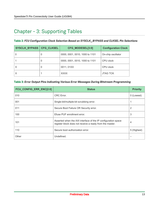### <span id="page-12-0"></span>Chapter - 3: Supporting Tables

<span id="page-12-1"></span>**Table 2:** *FCU Configuration Clock Selection Based on SYSCLK\_BYPASS and CLKSEL Pin Selections*

| <b>SYSCLK_BYPASS</b> | <b>CFG CLKSEL</b> | CFG_MODESEL[3:0]               | <b>Configuration Clock</b> |
|----------------------|-------------------|--------------------------------|----------------------------|
|                      |                   | 0000, 0001, 0010, 1000 to 1101 | On-chip oscillator         |
|                      |                   | 0000, 0001, 0010, 1000 to 1101 | CPU clock                  |
|                      |                   | 0011, 01XX                     | CPU clock                  |
|                      |                   | <b>XXXX</b>                    | <b>JTAG TCK</b>            |

<span id="page-12-2"></span>

| FCU_CONFIG_ERR_ENC[2:0] | <b>Status</b>                                                                                                             | <b>Priority</b> |
|-------------------------|---------------------------------------------------------------------------------------------------------------------------|-----------------|
| 010                     | CRC Error.                                                                                                                | 0 (Lowest)      |
| 001                     | Single-bit/multiple-bit scrubbing error.                                                                                  |                 |
| 011                     | Secure Boot Failure OR Security error.                                                                                    | 2               |
| 100                     | Efuse PUF enrollment error.                                                                                               | 3               |
| 101                     | Asserted when the AXI interface of the IP configuration space<br>register block does not receive a ready from the master. | 4               |
| 110                     | Secure boot authorization error.                                                                                          | 5 (Highest)     |
| Other                   | Undefined.                                                                                                                |                 |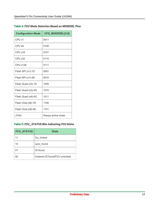#### <span id="page-13-0"></span>**Table 4:** *FCU Mode Selection Based on MODESEL Pins*

| <b>Configuration Mode</b> | CFG_MODESEL[3:0]   |
|---------------------------|--------------------|
| CPU x1                    | 0011               |
| CPU x8                    | 0100               |
| CPU x16                   | 0101               |
| CPU x32                   | 0110               |
| <b>CPU x128</b>           | 0111               |
| Flash SPI (x1)-1D         | 0001               |
| Flash SPI (x1)-4D         | 0010               |
| Flash Quad (x2)-1D        | 1000               |
| Flash Quad (x2)-4D        | 1010               |
| Flash Quad (x4)-4D        | 1011               |
| Flash Octa (x8)-1D        | 1100               |
| Flash Octa (x8)-4D        | 1101               |
| <b>JTAG</b>               | Always active mode |

#### <span id="page-13-1"></span>**Table 5:** *FCU\_STATUS Bits Indicating FCU State*

| <b>FCU_STATUS</b> | <b>State</b>                    |
|-------------------|---------------------------------|
| 11                | fcu locked.                     |
| 10                | sync_found.                     |
| 01                | ID found.                       |
| იი                | Instance ID found/FCU unlocked. |